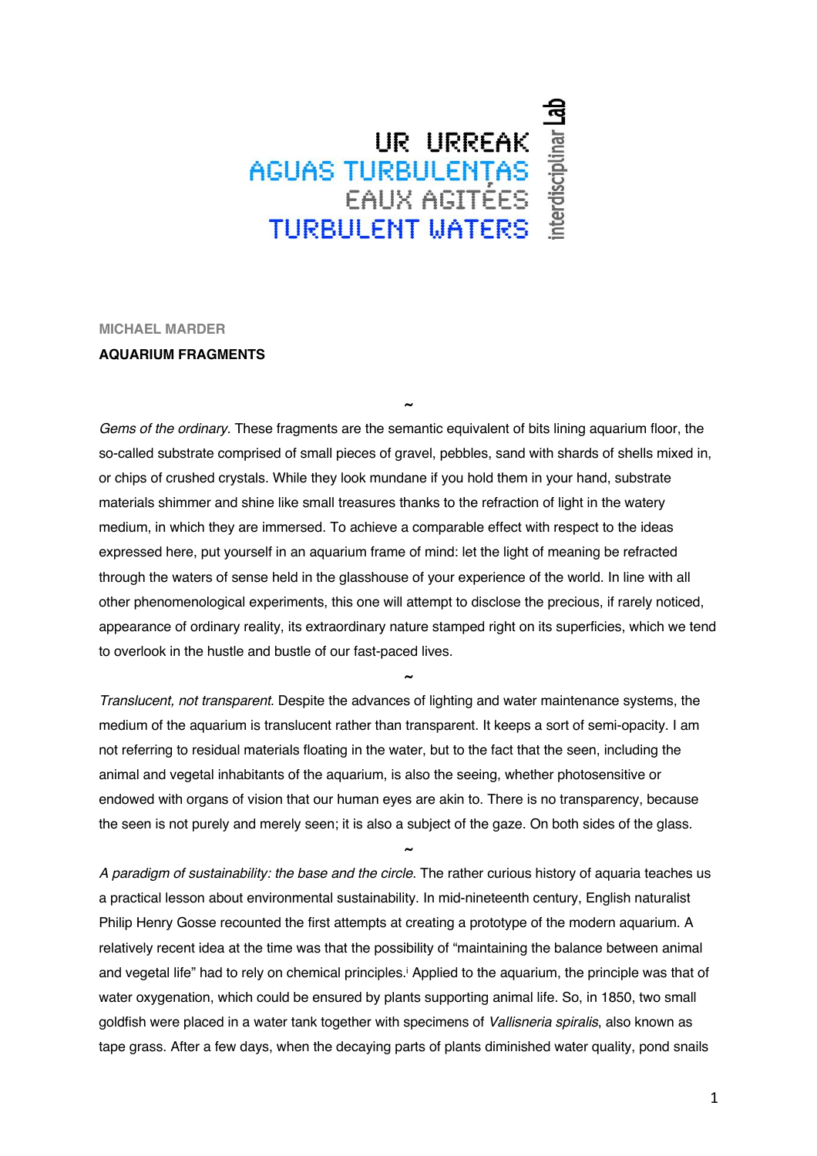## UR URREAK<br>AGUAS TURBULENTAS<br>EAUX AGITÉES **TURBULENT MATERS**

**MICHAEL MARDER**

## **AQUARIUM FRAGMENTS**

*Gems of the ordinary.* These fragments are the semantic equivalent of bits lining aquarium floor, the so-called substrate comprised of small pieces of gravel, pebbles, sand with shards of shells mixed in, or chips of crushed crystals. While they look mundane if you hold them in your hand, substrate materials shimmer and shine like small treasures thanks to the refraction of light in the watery medium, in which they are immersed. To achieve a comparable effect with respect to the ideas expressed here, put yourself in an aquarium frame of mind: let the light of meaning be refracted through the waters of sense held in the glasshouse of your experience of the world. In line with all other phenomenological experiments, this one will attempt to disclose the precious, if rarely noticed, appearance of ordinary reality, its extraordinary nature stamped right on its superficies, which we tend to overlook in the hustle and bustle of our fast-paced lives.

**~**

*Translucent, not transparent*. Despite the advances of lighting and water maintenance systems, the medium of the aquarium is translucent rather than transparent. It keeps a sort of semi-opacity. I am not referring to residual materials floating in the water, but to the fact that the seen, including the animal and vegetal inhabitants of the aquarium, is also the seeing, whether photosensitive or endowed with organs of vision that our human eyes are akin to. There is no transparency, because the seen is not purely and merely seen; it is also a subject of the gaze. On both sides of the glass.

**~**

*A paradigm of sustainability: the base and the circle*. The rather curious history of aquaria teaches us a practical lesson about environmental sustainability. In mid-nineteenth century, English naturalist Philip Henry Gosse recounted the first attempts at creating a prototype of the modern aquarium. A relatively recent idea at the time was that the possibility of "maintaining the balance between animal and vegetal life" had to rely on chemical principles.<sup>i</sup> Applied to the aquarium, the principle was that of water oxygenation, which could be ensured by plants supporting animal life. So, in 1850, two small goldfish were placed in a water tank together with specimens of *Vallisneria spiralis*, also known as tape grass. After a few days, when the decaying parts of plants diminished water quality, pond snails

**~**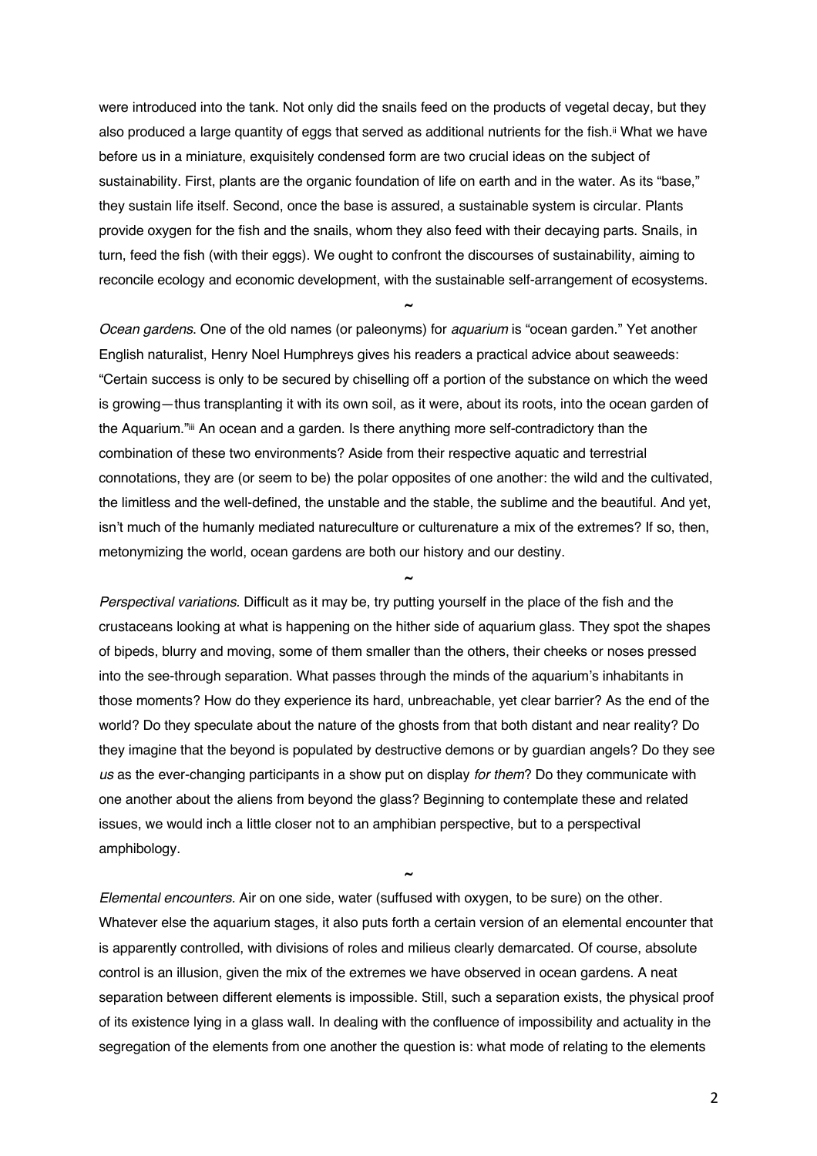were introduced into the tank. Not only did the snails feed on the products of vegetal decay, but they also produced a large quantity of eggs that served as additional nutrients for the fish.<sup>ii</sup> What we have before us in a miniature, exquisitely condensed form are two crucial ideas on the subject of sustainability. First, plants are the organic foundation of life on earth and in the water. As its "base," they sustain life itself. Second, once the base is assured, a sustainable system is circular. Plants provide oxygen for the fish and the snails, whom they also feed with their decaying parts. Snails, in turn, feed the fish (with their eggs). We ought to confront the discourses of sustainability, aiming to reconcile ecology and economic development, with the sustainable self-arrangement of ecosystems.

**~**

*Ocean gardens*. One of the old names (or paleonyms) for *aquarium* is "ocean garden." Yet another English naturalist, Henry Noel Humphreys gives his readers a practical advice about seaweeds: "Certain success is only to be secured by chiselling off a portion of the substance on which the weed is growing—thus transplanting it with its own soil, as it were, about its roots, into the ocean garden of the Aquarium."iii An ocean and a garden. Is there anything more self-contradictory than the combination of these two environments? Aside from their respective aquatic and terrestrial connotations, they are (or seem to be) the polar opposites of one another: the wild and the cultivated, the limitless and the well-defined, the unstable and the stable, the sublime and the beautiful. And yet, isn't much of the humanly mediated natureculture or culturenature a mix of the extremes? If so, then, metonymizing the world, ocean gardens are both our history and our destiny.

**~**

*Perspectival variations.* Difficult as it may be, try putting yourself in the place of the fish and the crustaceans looking at what is happening on the hither side of aquarium glass. They spot the shapes of bipeds, blurry and moving, some of them smaller than the others, their cheeks or noses pressed into the see-through separation. What passes through the minds of the aquarium's inhabitants in those moments? How do they experience its hard, unbreachable, yet clear barrier? As the end of the world? Do they speculate about the nature of the ghosts from that both distant and near reality? Do they imagine that the beyond is populated by destructive demons or by guardian angels? Do they see *us* as the ever-changing participants in a show put on display *for them*? Do they communicate with one another about the aliens from beyond the glass? Beginning to contemplate these and related issues, we would inch a little closer not to an amphibian perspective, but to a perspectival amphibology.

*Elemental encounters.* Air on one side, water (suffused with oxygen, to be sure) on the other. Whatever else the aquarium stages, it also puts forth a certain version of an elemental encounter that is apparently controlled, with divisions of roles and milieus clearly demarcated. Of course, absolute control is an illusion, given the mix of the extremes we have observed in ocean gardens. A neat separation between different elements is impossible. Still, such a separation exists, the physical proof of its existence lying in a glass wall. In dealing with the confluence of impossibility and actuality in the segregation of the elements from one another the question is: what mode of relating to the elements

**~**

2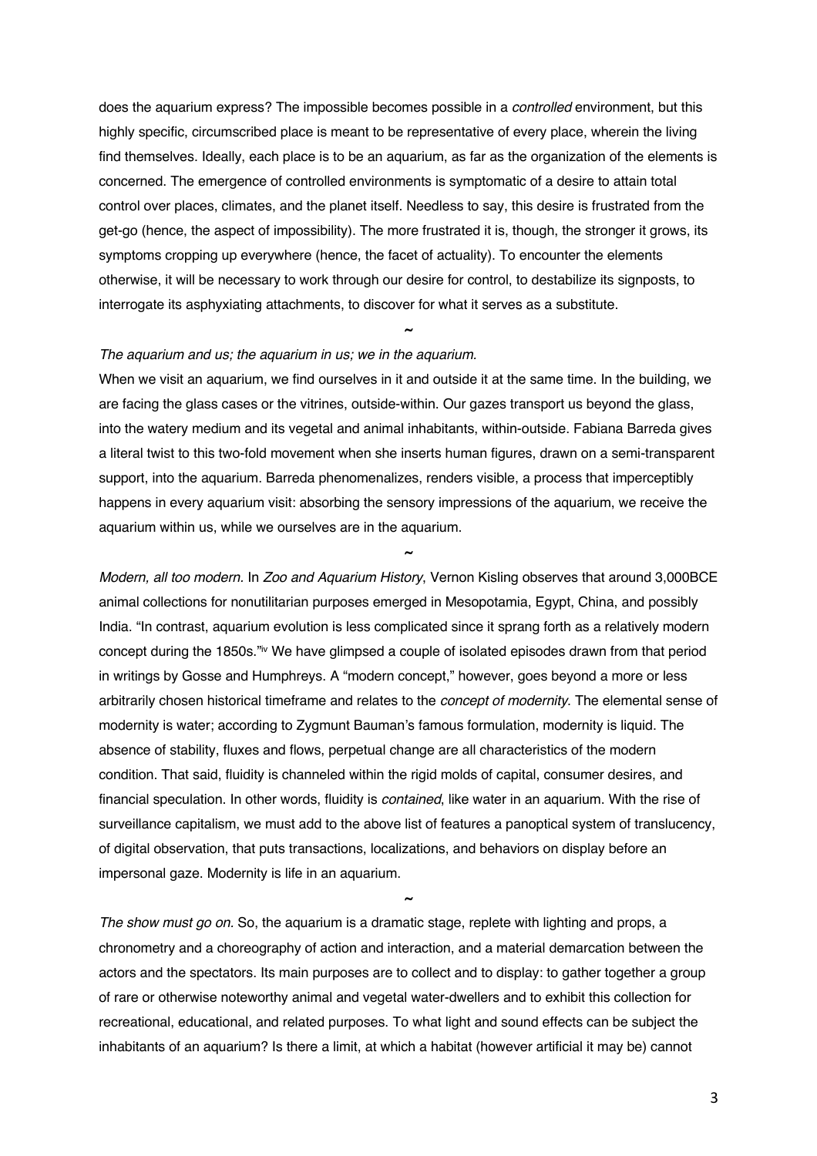does the aquarium express? The impossible becomes possible in a *controlled* environment, but this highly specific, circumscribed place is meant to be representative of every place, wherein the living find themselves. Ideally, each place is to be an aquarium, as far as the organization of the elements is concerned. The emergence of controlled environments is symptomatic of a desire to attain total control over places, climates, and the planet itself. Needless to say, this desire is frustrated from the get-go (hence, the aspect of impossibility). The more frustrated it is, though, the stronger it grows, its symptoms cropping up everywhere (hence, the facet of actuality). To encounter the elements otherwise, it will be necessary to work through our desire for control, to destabilize its signposts, to interrogate its asphyxiating attachments, to discover for what it serves as a substitute.

**~**

## *The aquarium and us; the aquarium in us; we in the aquarium.*

When we visit an aquarium, we find ourselves in it and outside it at the same time. In the building, we are facing the glass cases or the vitrines, outside-within. Our gazes transport us beyond the glass, into the watery medium and its vegetal and animal inhabitants, within-outside. Fabiana Barreda gives a literal twist to this two-fold movement when she inserts human figures, drawn on a semi-transparent support, into the aquarium. Barreda phenomenalizes, renders visible, a process that imperceptibly happens in every aquarium visit: absorbing the sensory impressions of the aquarium, we receive the aquarium within us, while we ourselves are in the aquarium.

**~**

*Modern, all too modern.* In *Zoo and Aquarium History*, Vernon Kisling observes that around 3,000BCE animal collections for nonutilitarian purposes emerged in Mesopotamia, Egypt, China, and possibly India. "In contrast, aquarium evolution is less complicated since it sprang forth as a relatively modern concept during the 1850s."iv We have glimpsed a couple of isolated episodes drawn from that period in writings by Gosse and Humphreys. A "modern concept," however, goes beyond a more or less arbitrarily chosen historical timeframe and relates to the *concept of modernity*. The elemental sense of modernity is water; according to Zygmunt Bauman's famous formulation, modernity is liquid. The absence of stability, fluxes and flows, perpetual change are all characteristics of the modern condition. That said, fluidity is channeled within the rigid molds of capital, consumer desires, and financial speculation. In other words, fluidity is *contained*, like water in an aquarium. With the rise of surveillance capitalism, we must add to the above list of features a panoptical system of translucency, of digital observation, that puts transactions, localizations, and behaviors on display before an impersonal gaze. Modernity is life in an aquarium.

*The show must go on.* So, the aquarium is a dramatic stage, replete with lighting and props, a chronometry and a choreography of action and interaction, and a material demarcation between the actors and the spectators. Its main purposes are to collect and to display: to gather together a group of rare or otherwise noteworthy animal and vegetal water-dwellers and to exhibit this collection for recreational, educational, and related purposes. To what light and sound effects can be subject the inhabitants of an aquarium? Is there a limit, at which a habitat (however artificial it may be) cannot

**~**

3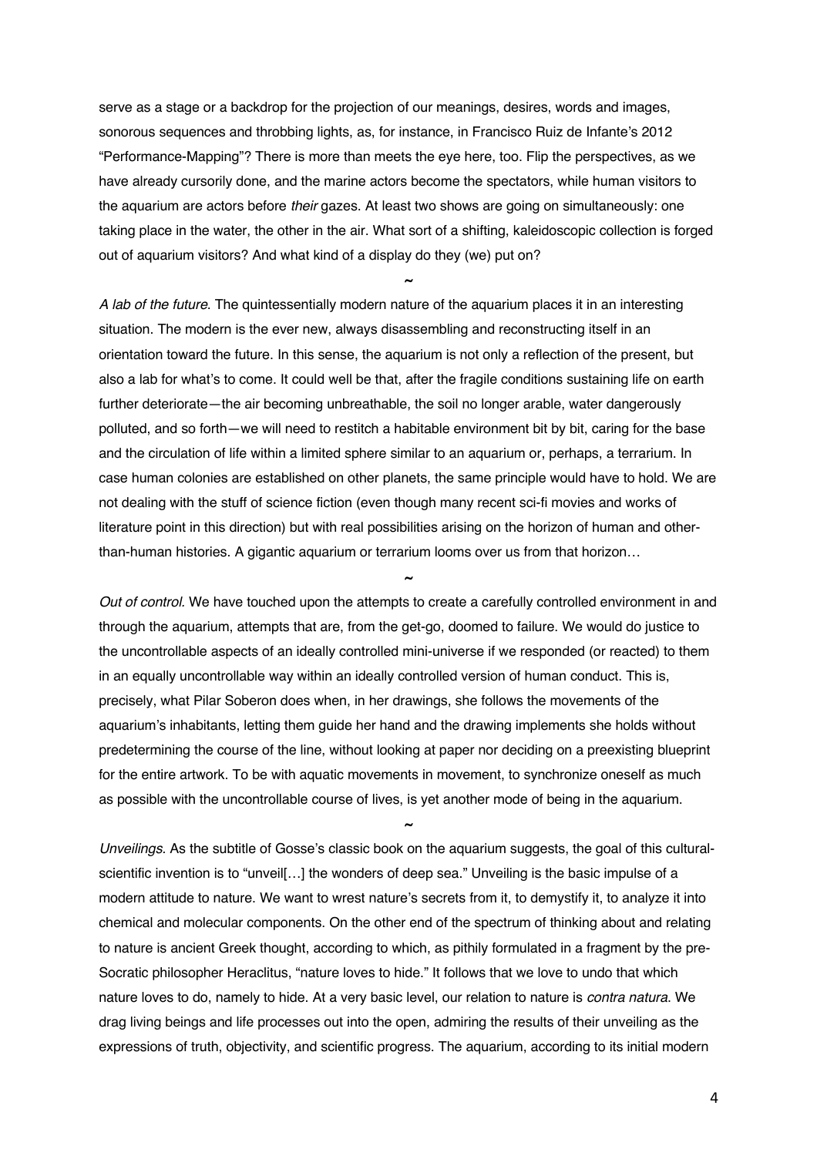serve as a stage or a backdrop for the projection of our meanings, desires, words and images, sonorous sequences and throbbing lights, as, for instance, in Francisco Ruiz de Infante's 2012 "Performance-Mapping"? There is more than meets the eye here, too. Flip the perspectives, as we have already cursorily done, and the marine actors become the spectators, while human visitors to the aquarium are actors before *their* gazes. At least two shows are going on simultaneously: one taking place in the water, the other in the air. What sort of a shifting, kaleidoscopic collection is forged out of aquarium visitors? And what kind of a display do they (we) put on?

**~**

*A lab of the future*. The quintessentially modern nature of the aquarium places it in an interesting situation. The modern is the ever new, always disassembling and reconstructing itself in an orientation toward the future. In this sense, the aquarium is not only a reflection of the present, but also a lab for what's to come. It could well be that, after the fragile conditions sustaining life on earth further deteriorate—the air becoming unbreathable, the soil no longer arable, water dangerously polluted, and so forth—we will need to restitch a habitable environment bit by bit, caring for the base and the circulation of life within a limited sphere similar to an aquarium or, perhaps, a terrarium. In case human colonies are established on other planets, the same principle would have to hold. We are not dealing with the stuff of science fiction (even though many recent sci-fi movies and works of literature point in this direction) but with real possibilities arising on the horizon of human and otherthan-human histories. A gigantic aquarium or terrarium looms over us from that horizon…

*Out of control.* We have touched upon the attempts to create a carefully controlled environment in and through the aquarium, attempts that are, from the get-go, doomed to failure. We would do justice to the uncontrollable aspects of an ideally controlled mini-universe if we responded (or reacted) to them in an equally uncontrollable way within an ideally controlled version of human conduct. This is, precisely, what Pilar Soberon does when, in her drawings, she follows the movements of the aquarium's inhabitants, letting them guide her hand and the drawing implements she holds without predetermining the course of the line, without looking at paper nor deciding on a preexisting blueprint for the entire artwork. To be with aquatic movements in movement, to synchronize oneself as much as possible with the uncontrollable course of lives, is yet another mode of being in the aquarium.

**~**

**~**

*Unveilings.* As the subtitle of Gosse's classic book on the aquarium suggests, the goal of this culturalscientific invention is to "unveil[…] the wonders of deep sea." Unveiling is the basic impulse of a modern attitude to nature. We want to wrest nature's secrets from it, to demystify it, to analyze it into chemical and molecular components. On the other end of the spectrum of thinking about and relating to nature is ancient Greek thought, according to which, as pithily formulated in a fragment by the pre-Socratic philosopher Heraclitus, "nature loves to hide." It follows that we love to undo that which nature loves to do, namely to hide. At a very basic level, our relation to nature is *contra natura*. We drag living beings and life processes out into the open, admiring the results of their unveiling as the expressions of truth, objectivity, and scientific progress. The aquarium, according to its initial modern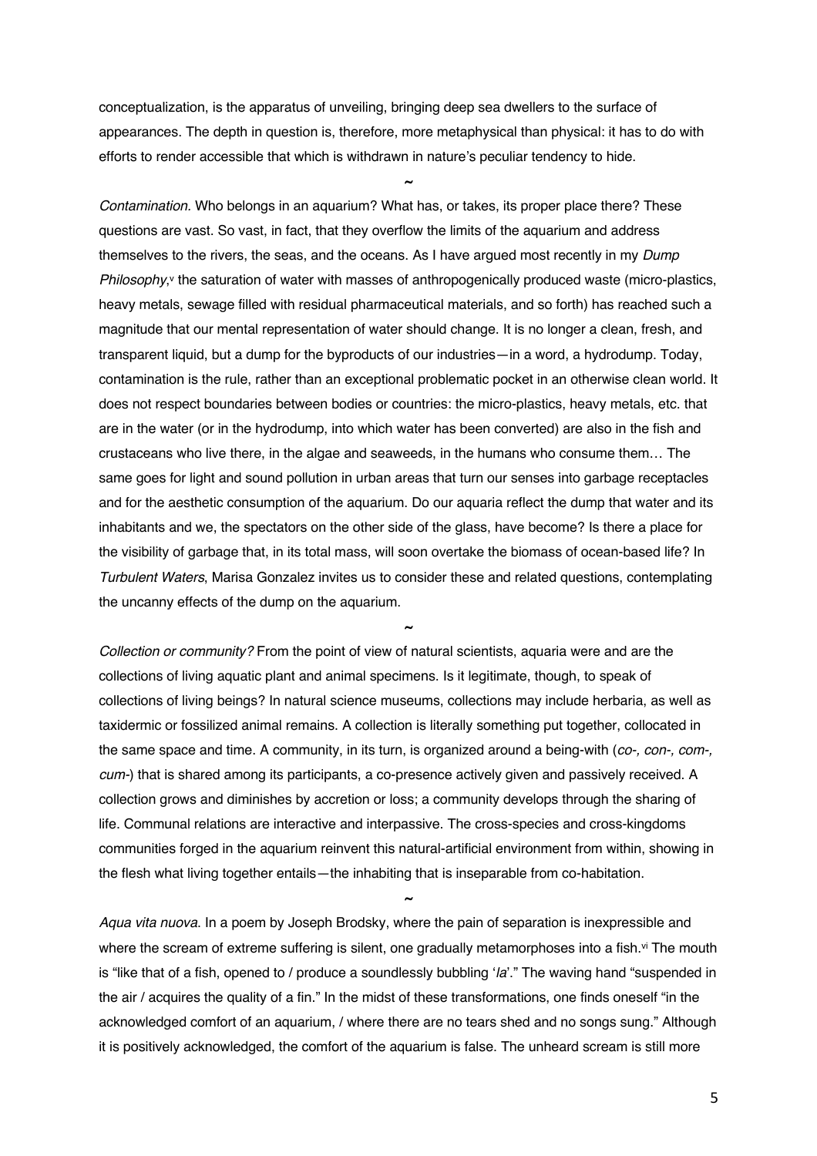conceptualization, is the apparatus of unveiling, bringing deep sea dwellers to the surface of appearances. The depth in question is, therefore, more metaphysical than physical: it has to do with efforts to render accessible that which is withdrawn in nature's peculiar tendency to hide.

**~**

*Contamination.* Who belongs in an aquarium? What has, or takes, its proper place there? These questions are vast. So vast, in fact, that they overflow the limits of the aquarium and address themselves to the rivers, the seas, and the oceans. As I have argued most recently in my *Dump Philosophy*,<sup>v</sup> the saturation of water with masses of anthropogenically produced waste (micro-plastics, heavy metals, sewage filled with residual pharmaceutical materials, and so forth) has reached such a magnitude that our mental representation of water should change. It is no longer a clean, fresh, and transparent liquid, but a dump for the byproducts of our industries—in a word, a hydrodump. Today, contamination is the rule, rather than an exceptional problematic pocket in an otherwise clean world. It does not respect boundaries between bodies or countries: the micro-plastics, heavy metals, etc. that are in the water (or in the hydrodump, into which water has been converted) are also in the fish and crustaceans who live there, in the algae and seaweeds, in the humans who consume them… The same goes for light and sound pollution in urban areas that turn our senses into garbage receptacles and for the aesthetic consumption of the aquarium. Do our aquaria reflect the dump that water and its inhabitants and we, the spectators on the other side of the glass, have become? Is there a place for the visibility of garbage that, in its total mass, will soon overtake the biomass of ocean-based life? In *Turbulent Waters*, Marisa Gonzalez invites us to consider these and related questions, contemplating the uncanny effects of the dump on the aquarium.

*Collection or community?* From the point of view of natural scientists, aquaria were and are the collections of living aquatic plant and animal specimens. Is it legitimate, though, to speak of collections of living beings? In natural science museums, collections may include herbaria, as well as taxidermic or fossilized animal remains. A collection is literally something put together, collocated in the same space and time. A community, in its turn, is organized around a being-with (*co-, con-, com-, cum-*) that is shared among its participants, a co-presence actively given and passively received. A collection grows and diminishes by accretion or loss; a community develops through the sharing of life. Communal relations are interactive and interpassive. The cross-species and cross-kingdoms communities forged in the aquarium reinvent this natural-artificial environment from within, showing in the flesh what living together entails—the inhabiting that is inseparable from co-habitation.

**~**

*Aqua vita nuova*. In a poem by Joseph Brodsky, where the pain of separation is inexpressible and where the scream of extreme suffering is silent, one gradually metamorphoses into a fish.<sup>vi</sup> The mouth is "like that of a fish, opened to / produce a soundlessly bubbling '*la*'." The waving hand "suspended in the air / acquires the quality of a fin." In the midst of these transformations, one finds oneself "in the acknowledged comfort of an aquarium, / where there are no tears shed and no songs sung." Although it is positively acknowledged, the comfort of the aquarium is false. The unheard scream is still more

**~**

5